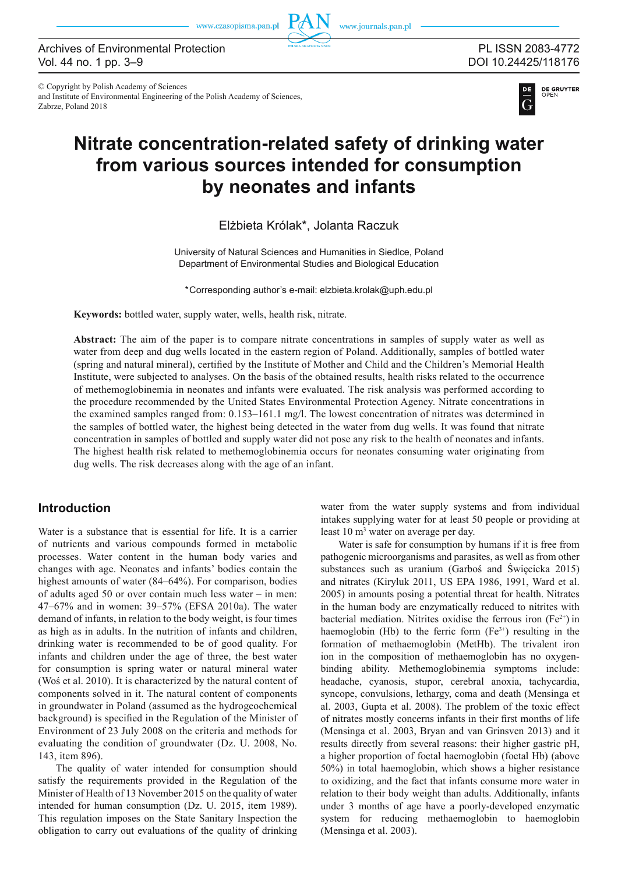www.czasopisma.pan.pl

www.journals.pan.pl

and Institute of Environmental Engineering of the Polish Academy of Sciences,

© Copyright by Polish Academy of Sciences

Zabrze, Poland 2018

PL ISSN 2083-4772 DOI 10.24425/118176

**DE GRUYTER** 

# **Nitrate concentration-related safety of drinking water from various sources intended for consumption by neonates and infants**

Elżbieta Królak\*, Jolanta Raczuk

University of Natural Sciences and Humanities in Siedlce, Poland Department of Environmental Studies and Biological Education

\*Corresponding author's e-mail: elzbieta.krolak@uph.edu.pl

**Keywords:** bottled water, supply water, wells, health risk, nitrate.

**Abstract:** The aim of the paper is to compare nitrate concentrations in samples of supply water as well as water from deep and dug wells located in the eastern region of Poland. Additionally, samples of bottled water (spring and natural mineral), certified by the Institute of Mother and Child and the Children's Memorial Health Institute, were subjected to analyses. On the basis of the obtained results, health risks related to the occurrence of methemoglobinemia in neonates and infants were evaluated. The risk analysis was performed according to the procedure recommended by the United States Environmental Protection Agency. Nitrate concentrations in the examined samples ranged from: 0.153–161.1 mg/l. The lowest concentration of nitrates was determined in the samples of bottled water, the highest being detected in the water from dug wells. It was found that nitrate concentration in samples of bottled and supply water did not pose any risk to the health of neonates and infants. The highest health risk related to methemoglobinemia occurs for neonates consuming water originating from dug wells. The risk decreases along with the age of an infant.

## **Introduction**

Water is a substance that is essential for life. It is a carrier of nutrients and various compounds formed in metabolic processes. Water content in the human body varies and changes with age. Neonates and infants' bodies contain the highest amounts of water (84–64%). For comparison, bodies of adults aged 50 or over contain much less water – in men: 47–67% and in women: 39–57% (EFSA 2010a). The water demand of infants, in relation to the body weight, is four times as high as in adults. In the nutrition of infants and children, drinking water is recommended to be of good quality. For infants and children under the age of three, the best water for consumption is spring water or natural mineral water (Woś et al. 2010). It is characterized by the natural content of components solved in it. The natural content of components in groundwater in Poland (assumed as the hydrogeochemical background) is specified in the Regulation of the Minister of Environment of 23 July 2008 on the criteria and methods for evaluating the condition of groundwater (Dz. U. 2008, No. 143, item 896).

The quality of water intended for consumption should satisfy the requirements provided in the Regulation of the Minister of Health of 13 November 2015 on the quality of water intended for human consumption (Dz. U. 2015, item 1989). This regulation imposes on the State Sanitary Inspection the obligation to carry out evaluations of the quality of drinking water from the water supply systems and from individual intakes supplying water for at least 50 people or providing at least 10 m<sup>3</sup> water on average per day.

Water is safe for consumption by humans if it is free from pathogenic microorganisms and parasites, as well as from other substances such as uranium (Garboś and Święcicka 2015) and nitrates (Kiryluk 2011, US EPA 1986, 1991, Ward et al. 2005) in amounts posing a potential threat for health. Nitrates in the human body are enzymatically reduced to nitrites with bacterial mediation. Nitrites oxidise the ferrous iron  $(Fe^{2+})$  in haemoglobin (Hb) to the ferric form  $(Fe^{3+})$  resulting in the formation of methaemoglobin (MetHb). The trivalent iron ion in the composition of methaemoglobin has no oxygenbinding ability. Methemoglobinemia symptoms include: headache, cyanosis, stupor, cerebral anoxia, tachycardia, syncope, convulsions, lethargy, coma and death (Mensinga et al. 2003, Gupta et al. 2008). The problem of the toxic effect of nitrates mostly concerns infants in their first months of life (Mensinga et al. 2003, Bryan and van Grinsven 2013) and it results directly from several reasons: their higher gastric pH, a higher proportion of foetal haemoglobin (foetal Hb) (above 50%) in total haemoglobin, which shows a higher resistance to oxidizing, and the fact that infants consume more water in relation to their body weight than adults. Additionally, infants under 3 months of age have a poorly-developed enzymatic system for reducing methaemoglobin to haemoglobin (Mensinga et al. 2003).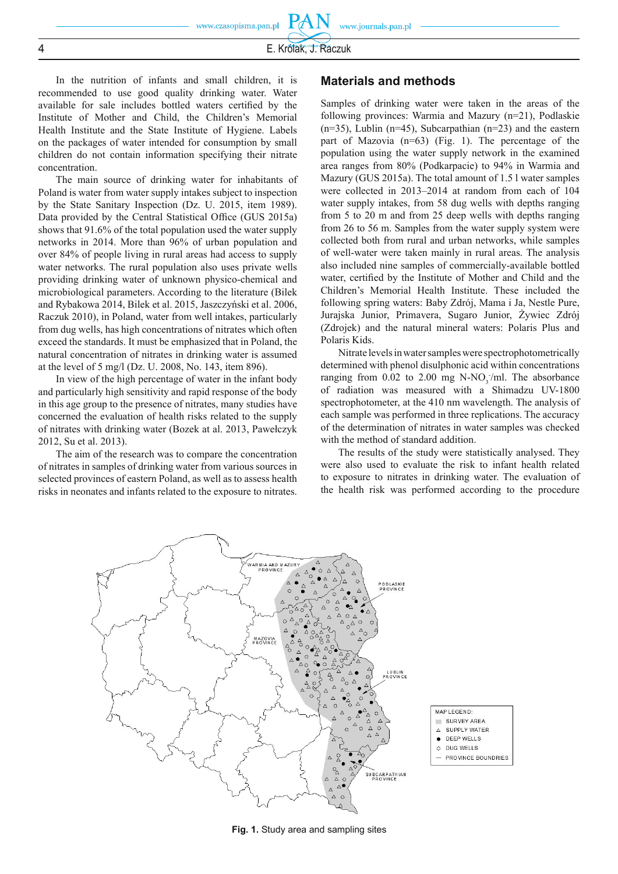PA

In the nutrition of infants and small children, it is recommended to use good quality drinking water. Water available for sale includes bottled waters certified by the Institute of Mother and Child, the Children's Memorial Health Institute and the State Institute of Hygiene. Labels on the packages of water intended for consumption by small children do not contain information specifying their nitrate concentration.

The main source of drinking water for inhabitants of Poland is water from water supply intakes subject to inspection by the State Sanitary Inspection (Dz. U. 2015, item 1989). Data provided by the Central Statistical Office (GUS 2015a) shows that 91.6% of the total population used the water supply networks in 2014. More than 96% of urban population and over 84% of people living in rural areas had access to supply water networks. The rural population also uses private wells providing drinking water of unknown physico-chemical and microbiological parameters. According to the literature (Bilek and Rybakowa 2014, Bilek et al. 2015, Jaszczyński et al. 2006, Raczuk 2010), in Poland, water from well intakes, particularly from dug wells, has high concentrations of nitrates which often exceed the standards. It must be emphasized that in Poland, the natural concentration of nitrates in drinking water is assumed at the level of 5 mg/l (Dz. U. 2008, No. 143, item 896).

In view of the high percentage of water in the infant body and particularly high sensitivity and rapid response of the body in this age group to the presence of nitrates, many studies have concerned the evaluation of health risks related to the supply of nitrates with drinking water (Bozek at al. 2013, Pawełczyk 2012, Su et al. 2013).

The aim of the research was to compare the concentration of nitrates in samples of drinking water from various sources in selected provinces of eastern Poland, as well as to assess health risks in neonates and infants related to the exposure to nitrates.

#### **Materials and methods**

Samples of drinking water were taken in the areas of the following provinces: Warmia and Mazury (n=21), Podlaskie  $(n=35)$ , Lublin  $(n=45)$ , Subcarpathian  $(n=23)$  and the eastern part of Mazovia (n=63) (Fig. 1). The percentage of the population using the water supply network in the examined area ranges from 80% (Podkarpacie) to 94% in Warmia and Mazury (GUS 2015a). The total amount of 1.5 l water samples were collected in 2013–2014 at random from each of 104 water supply intakes, from 58 dug wells with depths ranging from 5 to 20 m and from 25 deep wells with depths ranging from 26 to 56 m. Samples from the water supply system were collected both from rural and urban networks, while samples of well-water were taken mainly in rural areas. The analysis also included nine samples of commercially-available bottled water, certified by the Institute of Mother and Child and the Children's Memorial Health Institute. These included the following spring waters: Baby Zdrój, Mama i Ja, Nestle Pure, Jurajska Junior, Primavera, Sugaro Junior, Żywiec Zdrój (Zdrojek) and the natural mineral waters: Polaris Plus and Polaris Kids.

Nitrate levels in water samples were spectrophotometrically determined with phenol disulphonic acid within concentrations ranging from  $0.02$  to  $2.00$  mg N-NO<sub>3</sub>/ml. The absorbance of radiation was measured with a Shimadzu UV-1800 spectrophotometer, at the 410 nm wavelength. The analysis of each sample was performed in three replications. The accuracy of the determination of nitrates in water samples was checked with the method of standard addition.

The results of the study were statistically analysed. They were also used to evaluate the risk to infant health related to exposure to nitrates in drinking water. The evaluation of the health risk was performed according to the procedure



MAP LEGEND SURVEY AREA  $\Lambda$ SUPPLY WATER DEEP WELLS  $\bullet$ 

- O DUG WELLS
- PROVINCE BOUNDRIES
-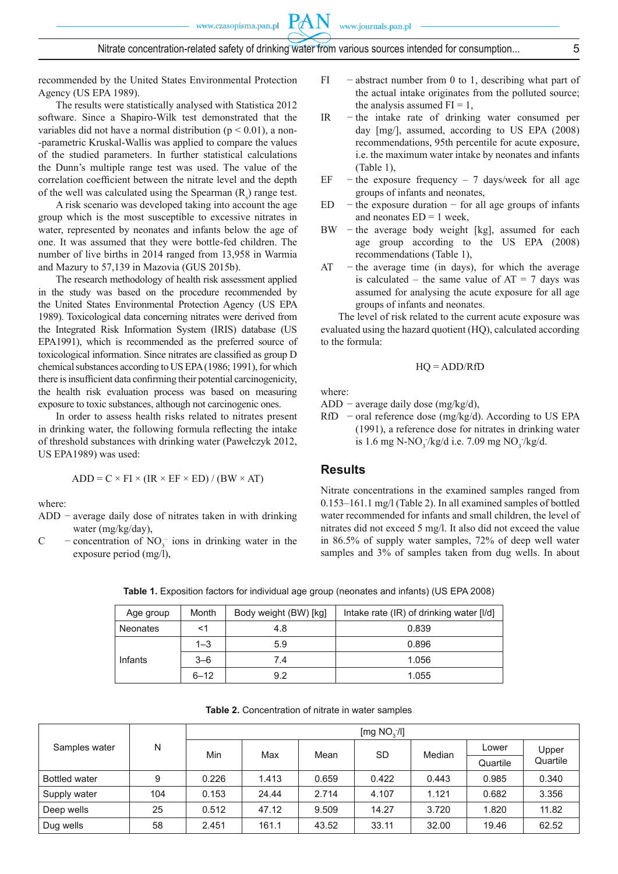recommended by the United States Environmental Protection Agency (US EPA 1989).

The results were statistically analysed with Statistica 2012 software. Since a Shapiro-Wilk test demonstrated that the variables did not have a normal distribution ( $p < 0.01$ ), a non--parametric Kruskal-Wallis was applied to compare the values of the studied parameters. In further statistical calculations the Dunn's multiple range test was used. The value of the correlation coefficient between the nitrate level and the depth of the well was calculated using the Spearman  $(R<sub>s</sub>)$  range test.

A risk scenario was developed taking into account the age group which is the most susceptible to excessive nitrates in water, represented by neonates and infants below the age of one. It was assumed that they were bottle-fed children. The number of live births in 2014 ranged from 13,958 in Warmia and Mazury to 57,139 in Mazovia (GUS 2015b).

The research methodology of health risk assessment applied in the study was based on the procedure recommended by the United States Environmental Protection Agency (US EPA 1989). Toxicological data concerning nitrates were derived from the Integrated Risk Information System (IRIS) database (US EPA1991), which is recommended as the preferred source of toxicological information. Since nitrates are classified as group D chemical substances according to US EPA (1986; 1991), for which there is insufficient data confirming their potential carcinogenicity, the health risk evaluation process was based on measuring exposure to toxic substances, although not carcinogenic ones.

In order to assess health risks related to nitrates present in drinking water, the following formula reflecting the intake of threshold substances with drinking water (Pawełczyk 2012, US EPA1989) was used:

$$
ADD = C \times FI \times (IR \times EF \times ED) / (BW \times AT)
$$

where:

- ADD − average daily dose of nitrates taken in with drinking water (mg/kg/day),
- C concentration of  $NO_3^-$  ions in drinking water in the exposure period (mg/l),
- FI − abstract number from 0 to 1, describing what part of the actual intake originates from the polluted source; the analysis assumed  $FI = 1$ ,
- IR − the intake rate of drinking water consumed per day [mg/], assumed, according to US EPA (2008) recommendations, 95th percentile for acute exposure, i.e. the maximum water intake by neonates and infants (Table 1),
- EF  $-$  the exposure frequency 7 days/week for all age groups of infants and neonates,
- ED  $-$  the exposure duration  $-$  for all age groups of infants and neonates  $ED = 1$  week,
- BW the average body weight [kg], assumed for each age group according to the US EPA (2008) recommendations (Table 1),
- $AT$  the average time (in days), for which the average is calculated – the same value of  $AT = 7$  days was assumed for analysing the acute exposure for all age groups of infants and neonates.

The level of risk related to the current acute exposure was evaluated using the hazard quotient (HQ), calculated according to the formula:

$$
HQ = ADD/RfD
$$

where:

ADD − average daily dose (mg/kg/d),

RfD − oral reference dose (mg/kg/d). According to US EPA (1991), a reference dose for nitrates in drinking water is 1.6 mg N-NO<sub>3</sub>/kg/d i.e. 7.09 mg NO<sub>3</sub>/kg/d.

## **Results**

Nitrate concentrations in the examined samples ranged from 0.153–161.1 mg/l (Table 2). In all examined samples of bottled water recommended for infants and small children, the level of nitrates did not exceed 5 mg/l. It also did not exceed the value in 86.5% of supply water samples, 72% of deep well water samples and 3% of samples taken from dug wells. In about

| Age group       | Month    | Body weight (BW) [kg] | Intake rate (IR) of drinking water [I/d] |  |
|-----------------|----------|-----------------------|------------------------------------------|--|
| <b>Neonates</b> |          | 4.8                   | 0.839                                    |  |
|                 | $1 - 3$  | 5.9                   | 0.896                                    |  |
| Infants         | $3 - 6$  | 7.4                   | 1.056                                    |  |
|                 | $6 - 12$ | 9.2                   | 1.055                                    |  |

**Table 1.** Exposition factors for individual age group (neonates and infants) (US EPA 2008)

**Table 2.** Concentration of nitrate in water samples

| Samples water        | N   | [mg $NO3/I$ ] |       |       |       |        |          |                   |
|----------------------|-----|---------------|-------|-------|-------|--------|----------|-------------------|
|                      |     | Min           | Max   | Mean  | SD    | Median | Lower    | Upper<br>Quartile |
|                      |     |               |       |       |       |        | Quartile |                   |
| <b>Bottled water</b> | 9   | 0.226         | 1.413 | 0.659 | 0.422 | 0.443  | 0.985    | 0.340             |
| Supply water         | 104 | 0.153         | 24.44 | 2.714 | 4.107 | 1.121  | 0.682    | 3.356             |
| Deep wells           | 25  | 0.512         | 47.12 | 9.509 | 14.27 | 3.720  | 1.820    | 11.82             |
| Dug wells            | 58  | 2.451         | 161.1 | 43.52 | 33.11 | 32.00  | 19.46    | 62.52             |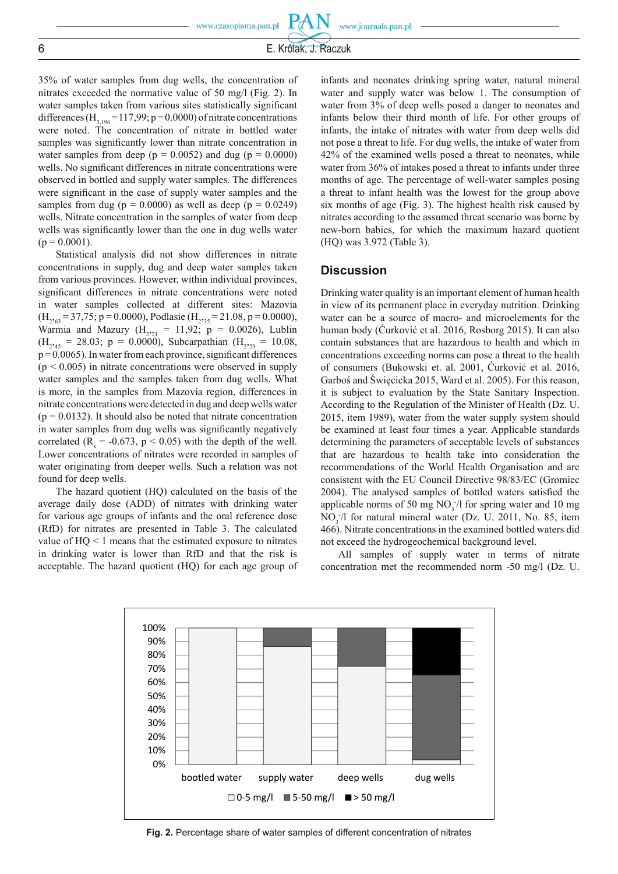35% of water samples from dug wells, the concentration of nitrates exceeded the normative value of 50 mg/l (Fig. 2). In water samples taken from various sites statistically significant differences  $(H_{3,196} = 117,99; p = 0.0000)$  of nitrate concentrations were noted. The concentration of nitrate in bottled water samples was significantly lower than nitrate concentration in water samples from deep ( $p = 0.0052$ ) and dug ( $p = 0.0000$ ) wells. No significant differences in nitrate concentrations were observed in bottled and supply water samples. The differences were significant in the case of supply water samples and the samples from dug ( $p = 0.0000$ ) as well as deep ( $p = 0.0249$ ) wells. Nitrate concentration in the samples of water from deep wells was significantly lower than the one in dug wells water  $(p = 0.0001)$ .

Statistical analysis did not show differences in nitrate concentrations in supply, dug and deep water samples taken from various provinces. However, within individual provinces, significant differences in nitrate concentrations were noted in water samples collected at different sites: Mazovia  $(H_{2063} = 37,75; p = 0.0000)$ , Podlasie  $(H_{2035} = 21.08, p = 0.0000)$ , Warmia and Mazury ( $H_{221} = 11,92$ ;  $p = 0.0026$ ), Lublin  $(H_{2^{2}45} = 28.03; p = 0.0000)$ , Subcarpathian  $(H_{2^{2}23} = 10.08,$  $p = 0.0065$ ). In water from each province, significant differences  $(p < 0.005)$  in nitrate concentrations were observed in supply water samples and the samples taken from dug wells. What is more, in the samples from Mazovia region, differences in nitrate concentrations were detected in dug and deep wells water  $(p = 0.0132)$ . It should also be noted that nitrate concentration in water samples from dug wells was significantly negatively correlated ( $R_s = -0.673$ ,  $p < 0.05$ ) with the depth of the well. Lower concentrations of nitrates were recorded in samples of water originating from deeper wells. Such a relation was not found for deep wells.

The hazard quotient (HQ) calculated on the basis of the average daily dose (ADD) of nitrates with drinking water for various age groups of infants and the oral reference dose (RfD) for nitrates are presented in Table 3. The calculated value of HQ < 1 means that the estimated exposure to nitrates in drinking water is lower than RfD and that the risk is acceptable. The hazard quotient (HQ) for each age group of

infants and neonates drinking spring water, natural mineral water and supply water was below 1. The consumption of water from 3% of deep wells posed a danger to neonates and infants below their third month of life. For other groups of infants, the intake of nitrates with water from deep wells did not pose a threat to life. For dug wells, the intake of water from 42% of the examined wells posed a threat to neonates, while water from 36% of intakes posed a threat to infants under three months of age. The percentage of well-water samples posing a threat to infant health was the lowest for the group above six months of age (Fig. 3). The highest health risk caused by nitrates according to the assumed threat scenario was borne by new-born babies, for which the maximum hazard quotient (HQ) was 3.972 (Table 3).

## **Discussion**

Drinking water quality is an important element of human health in view of its permanent place in everyday nutrition. Drinking water can be a source of macro- and microelements for the human body (Ćurković et al. 2016, Rosborg 2015). It can also contain substances that are hazardous to health and which in concentrations exceeding norms can pose a threat to the health of consumers (Bukowski et. al. 2001, Ćurković et al. 2016, Garboś and Święcicka 2015, Ward et al. 2005). For this reason, it is subject to evaluation by the State Sanitary Inspection. According to the Regulation of the Minister of Health (Dz. U. 2015, item 1989), water from the water supply system should be examined at least four times a year. Applicable standards determining the parameters of acceptable levels of substances that are hazardous to health take into consideration the recommendations of the World Health Organisation and are consistent with the EU Council Directive 98/83/EC (Gromiec 2004). The analysed samples of bottled waters satisfied the applicable norms of 50 mg  $NO_3/1$  for spring water and 10 mg  $NO<sub>3</sub>/l$  for natural mineral water (Dz. U. 2011, No. 85, item 466). Nitrate concentrations in the examined bottled waters did not exceed the hydrogeochemical background level.

All samples of supply water in terms of nitrate concentration met the recommended norm -50 mg/l (Dz. U.



**Fig. 2.** Percentage share of water samples of different concentration of nitrates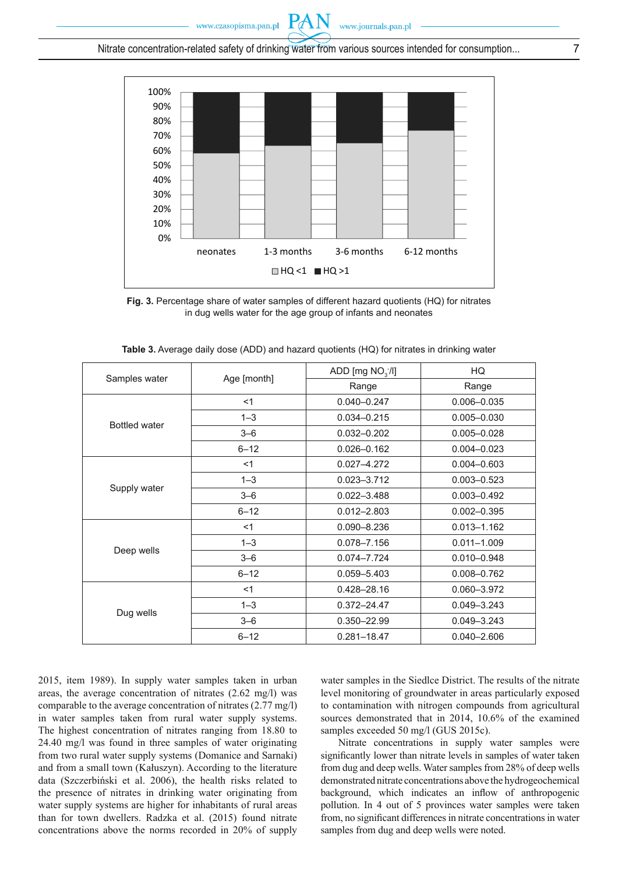Nitrate concentration-related safety of drinking water from various sources intended for consumption... 7

PA



**Fig. 3.** Percentage share of water samples of different hazard quotients (HQ) for nitrates in dug wells water for the age group of infants and neonates

|                      | Age [month] | ADD [mg $NO3/I$ ] | HQ              |
|----------------------|-------------|-------------------|-----------------|
| Samples water        |             | Range             | Range           |
|                      | $<$ 1       | $0.040 - 0.247$   | $0.006 - 0.035$ |
| <b>Bottled water</b> | $1 - 3$     | $0.034 - 0.215$   | $0.005 - 0.030$ |
|                      | $3 - 6$     | $0.032 - 0.202$   | $0.005 - 0.028$ |
|                      | $6 - 12$    | $0.026 - 0.162$   | $0.004 - 0.023$ |
|                      | <1          | $0.027 - 4.272$   | $0.004 - 0.603$ |
|                      | $1 - 3$     | $0.023 - 3.712$   | $0.003 - 0.523$ |
| Supply water         | $3 - 6$     | $0.022 - 3.488$   | $0.003 - 0.492$ |
|                      | $6 - 12$    | $0.012 - 2.803$   | $0.002 - 0.395$ |
|                      | <1          | $0.090 - 8.236$   | $0.013 - 1.162$ |
| Deep wells           | $1 - 3$     | 0.078-7.156       | $0.011 - 1.009$ |
|                      | $3 - 6$     | 0.074-7.724       | $0.010 - 0.948$ |
|                      | $6 - 12$    | $0.059 - 5.403$   | $0.008 - 0.762$ |
|                      | <1          | 0.428-28.16       | 0.060-3.972     |
|                      | $1 - 3$     | $0.372 - 24.47$   | $0.049 - 3.243$ |
| Dug wells            | $3 - 6$     | 0.350-22.99       | $0.049 - 3.243$ |
|                      | $6 - 12$    | $0.281 - 18.47$   | $0.040 - 2.606$ |

| Table 3. Average daily dose (ADD) and hazard quotients (HQ) for nitrates in drinking water |  |  |
|--------------------------------------------------------------------------------------------|--|--|
|--------------------------------------------------------------------------------------------|--|--|

2015, item 1989). In supply water samples taken in urban areas, the average concentration of nitrates (2.62 mg/l) was comparable to the average concentration of nitrates (2.77 mg/l) in water samples taken from rural water supply systems. The highest concentration of nitrates ranging from 18.80 to 24.40 mg/l was found in three samples of water originating from two rural water supply systems (Domanice and Sarnaki) and from a small town (Kałuszyn). According to the literature data (Szczerbiński et al. 2006), the health risks related to the presence of nitrates in drinking water originating from water supply systems are higher for inhabitants of rural areas than for town dwellers. Radzka et al. (2015) found nitrate concentrations above the norms recorded in 20% of supply

water samples in the Siedlce District. The results of the nitrate level monitoring of groundwater in areas particularly exposed to contamination with nitrogen compounds from agricultural sources demonstrated that in 2014, 10.6% of the examined samples exceeded 50 mg/l (GUS 2015c).

Nitrate concentrations in supply water samples were significantly lower than nitrate levels in samples of water taken from dug and deep wells. Water samples from 28% of deep wells demonstrated nitrate concentrations above the hydrogeochemical background, which indicates an inflow of anthropogenic pollution. In 4 out of 5 provinces water samples were taken from, no significant differences in nitrate concentrations in water samples from dug and deep wells were noted.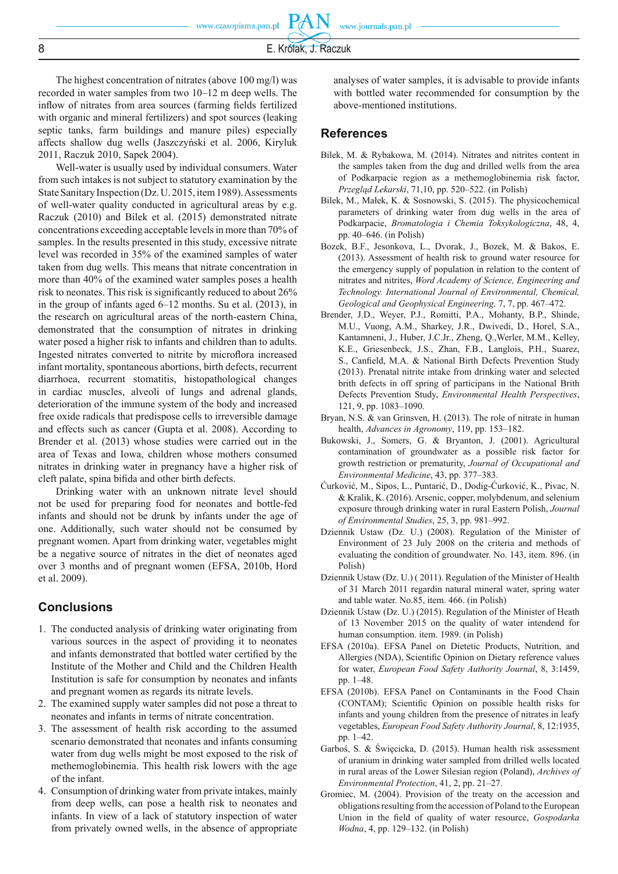**PAN** 

The highest concentration of nitrates (above 100 mg/l) was recorded in water samples from two 10–12 m deep wells. The inflow of nitrates from area sources (farming fields fertilized with organic and mineral fertilizers) and spot sources (leaking septic tanks, farm buildings and manure piles) especially affects shallow dug wells (Jaszczyński et al. 2006, Kiryluk 2011, Raczuk 2010, Sapek 2004).

Well-water is usually used by individual consumers. Water from such intakes is not subject to statutory examination by the State Sanitary Inspection (Dz. U. 2015, item 1989). Assessments of well-water quality conducted in agricultural areas by e.g. Raczuk (2010) and Bilek et al. (2015) demonstrated nitrate concentrations exceeding acceptable levels in more than 70% of samples. In the results presented in this study, excessive nitrate level was recorded in 35% of the examined samples of water taken from dug wells. This means that nitrate concentration in more than 40% of the examined water samples poses a health risk to neonates. This risk is significantly reduced to about  $26\%$ in the group of infants aged 6–12 months. Su et al. (2013), in the research on agricultural areas of the north-eastern China, demonstrated that the consumption of nitrates in drinking water posed a higher risk to infants and children than to adults. Ingested nitrates converted to nitrite by microflora increased infant mortality, spontaneous abortions, birth defects, recurrent diarrhoea, recurrent stomatitis, histopathological changes in cardiac muscles, alveoli of lungs and adrenal glands, deterioration of the immune system of the body and increased free oxide radicals that predispose cells to irreversible damage and effects such as cancer (Gupta et al. 2008). According to Brender et al. (2013) whose studies were carried out in the area of Texas and Iowa, children whose mothers consumed nitrates in drinking water in pregnancy have a higher risk of cleft palate, spina bifida and other birth defects.

Drinking water with an unknown nitrate level should not be used for preparing food for neonates and bottle-fed infants and should not be drunk by infants under the age of one. Additionally, such water should not be consumed by pregnant women. Apart from drinking water, vegetables might be a negative source of nitrates in the diet of neonates aged over 3 months and of pregnant women (EFSA, 2010b, Hord et al. 2009).

## **Conclusions**

- 1. The conducted analysis of drinking water originating from various sources in the aspect of providing it to neonates and infants demonstrated that bottled water certified by the Institute of the Mother and Child and the Children Health Institution is safe for consumption by neonates and infants and pregnant women as regards its nitrate levels.
- 2. The examined supply water samples did not pose a threat to neonates and infants in terms of nitrate concentration.
- 3. The assessment of health risk according to the assumed scenario demonstrated that neonates and infants consuming water from dug wells might be most exposed to the risk of methemoglobinemia. This health risk lowers with the age of the infant.
- 4. Consumption of drinking water from private intakes, mainly from deep wells, can pose a health risk to neonates and infants. In view of a lack of statutory inspection of water from privately owned wells, in the absence of appropriate

analyses of water samples, it is advisable to provide infants with bottled water recommended for consumption by the above-mentioned institutions.

#### **References**

- Bilek, M. & Rybakowa, M. (2014). Nitrates and nitrites content in the samples taken from the dug and drilled wells from the area of Podkarpacie region as a methemoglobinemia risk factor, *Przegląd Lekarski*, 71,10, pp. 520–522. (in Polish)
- Bilek, M., Małek, K. & Sosnowski, S. (2015). The physicochemical parameters of drinking water from dug wells in the area of Podkarpacie, *Bromatologia i Chemia Toksykologiczna*, 48, 4, pp. 40–646. (in Polish)
- Bozek, B.F., Jesonkova, L., Dvorak, J., Bozek, M. & Bakos, E. (2013). Assessment of health risk to ground water resource for the emergency supply of population in relation to the content of nitrates and nitrites, *Word Academy of Science, Engineering and Technology. International Journal of Environmental, Chemical, Geological and Geophysical Engineering,* 7, 7, pp. 467–472.
- Brender, J.D., Weyer, P.J., Romitti, P.A., Mohanty, B.P., Shinde, M.U., Vuong, A.M., Sharkey, J.R., Dwivedi, D., Horel, S.A., Kantamneni, J., Huber, J.C.Jr., Zheng, Q.,Werler, M.M., Kelley, K.E., Griesenbeck, J.S., Zhan, F.B., Langlois, P.H., Suarez, S., Canfield, M.A. & National Birth Defects Prevention Study (2013). Prenatal nitrite intake from drinking water and selected brith defects in off spring of participans in the National Brith Defects Prevention Study, *Environmental Health Perspectives*, 121, 9, pp. 1083–1090.
- Bryan, N.S. & van Grinsven, H. (2013). The role of nitrate in human health, *Advances in Agronomy*, 119, pp. 153–182.
- Bukowski, J., Somers, G. & Bryanton, J. (2001). Agricultural contamination of groundwater as a possible risk factor for growth restriction or prematurity, *Journal of Occupational and Environmental Medicine*, 43, pp. 377–383.
- Ćurković, M., Sipos, L., Puntarić, D., Dodig-Ćurković, K., Pivac, N. & Kralik, K. (2016). Arsenic, copper, molybdenum, and selenium exposure through drinking water in rural Eastern Polish, *Journal of Environmental Studies*, 25, 3, pp. 981–992.
- Dziennik Ustaw (Dz. U.) (2008). Regulation of the Minister of Environment of 23 July 2008 on the criteria and methods of evaluating the condition of groundwater. No. 143, item. 896. (in Polish)
- Dziennik Ustaw (Dz. U.) ( 2011). Regulation of the Minister of Health of 31 March 2011 regardin natural mineral water, spring water and table water. No.85, item. 466. (in Polish)
- Dziennik Ustaw (Dz. U.) (2015). Regulation of the Minister of Heath of 13 November 2015 on the quality of water intendend for human consumption. item. 1989. (in Polish)
- EFSA (2010a). EFSA Panel on Dietetic Products, Nutrition, and Allergies (NDA), Scientific Opinion on Dietary reference values for water, *European Food Safety Authority Journal*, 8, 3:1459, pp. 1–48.
- EFSA (2010b). EFSA Panel on Contaminants in the Food Chain (CONTAM); Scientific Opinion on possible health risks for infants and young children from the presence of nitrates in leafy vegetables, *European Food Safety Authority Journal*, 8, 12:1935, pp. 1–42.
- Garboś, S. & Święcicka, D. (2015). Human health risk assessment of uranium in drinking water sampled from drilled wells located in rural areas of the Lower Silesian region (Poland), *Archives of Environmental Protection*, 41, 2, pp. 21–27.
- Gromiec, M. (2004). Provision of the treaty on the accession and obligations resulting from the accession of Poland to the European Union in the field of quality of water resource, *Gospodarka Wodna*, 4, pp. 129–132. (in Polish)